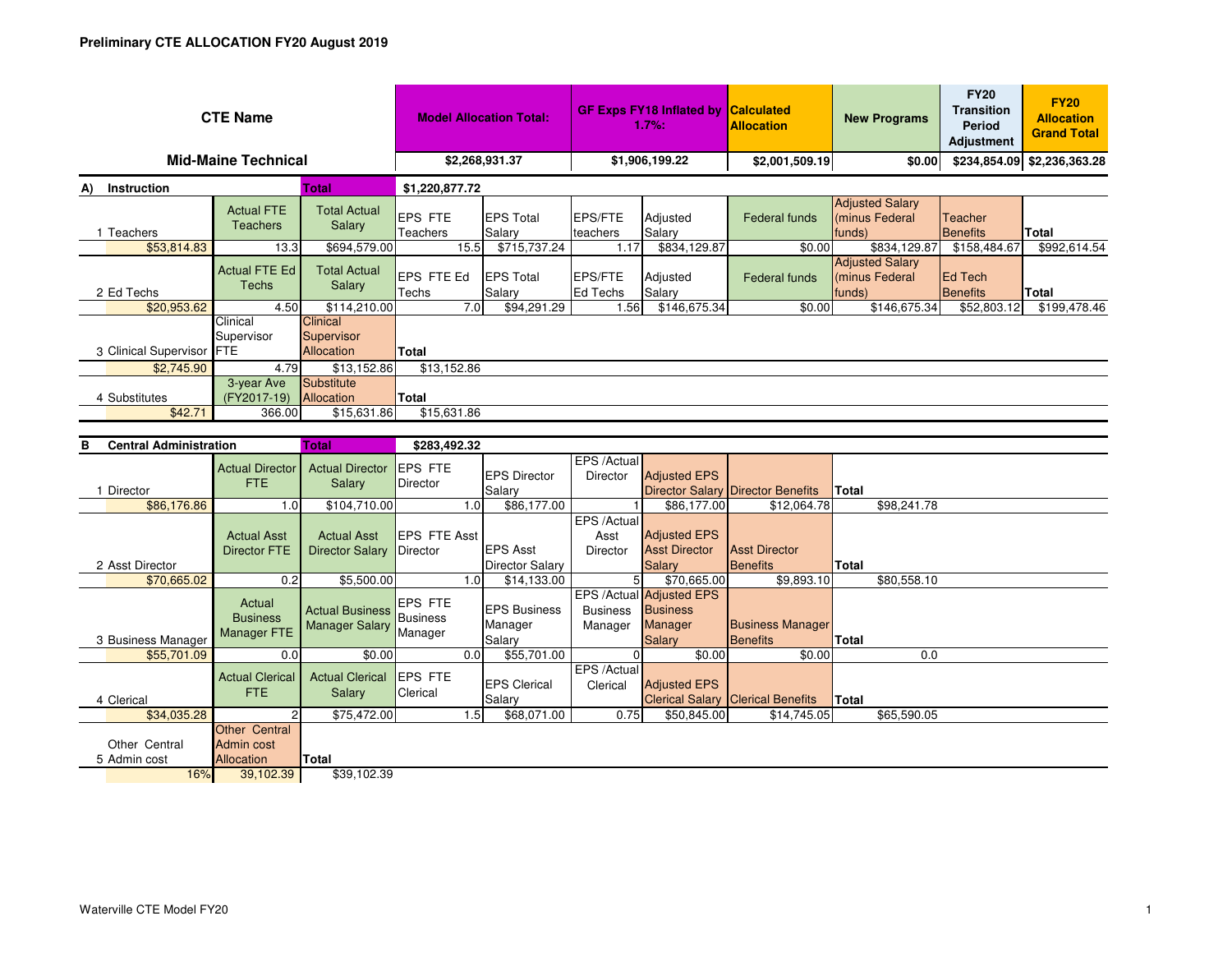| <b>CTE Name</b>                   |                          |                                      |                                         | <b>Model Allocation Total:</b> |                             | <b>GF Exps FY18 Inflated by</b><br>1.7%: |                    | <b>Calculated</b><br><b>Allocation</b> | <b>New Programs</b>                                |                                   | <b>FY20</b><br><b>Allocation</b><br><b>Grand Total</b> |
|-----------------------------------|--------------------------|--------------------------------------|-----------------------------------------|--------------------------------|-----------------------------|------------------------------------------|--------------------|----------------------------------------|----------------------------------------------------|-----------------------------------|--------------------------------------------------------|
| <b>Mid-Maine Technical</b>        |                          |                                      |                                         | \$2,268,931.37                 |                             | \$1,906,199.22                           |                    | \$2,001,509.19                         | \$0.00                                             |                                   | \$234,854.09 \$2,236,363.28                            |
| <b>Total</b><br>Instruction<br>A) |                          |                                      | \$1,220,877.72                          |                                |                             |                                          |                    |                                        |                                                    |                                   |                                                        |
| Teachers                          |                          | <b>Actual FTE</b><br><b>Teachers</b> | <b>Total Actual</b><br>Salary           | <b>EPS FTE</b><br>Teachers     | <b>IEPS Total</b><br>Salary | <b>EPS/FTE</b><br>teachers               | Adjusted<br>Salary | Federal funds                          | <b>Adjusted Salary</b><br>(minus Federal<br>(funds | <b>Teacher</b><br><b>Benefits</b> | Total                                                  |
|                                   | \$53,814.83              | 13.3                                 | \$694,579.00                            | 15.5                           | \$715,737.24                | 1.17                                     | \$834,129.87       | \$0.00                                 | \$834,129.87                                       | \$158,484.67                      | \$992,614.54                                           |
| 2 Ed Techs                        |                          | <b>Actual FTE Ed</b><br>Techs        | <b>Total Actual</b><br>Salary           | <b>EPS FTE Ed</b><br>Techs     | <b>EPS Total</b><br>Salary  | EPS/FTE<br>Ed Techs                      | Adjusted<br>Salary | Federal funds                          | <b>Adjusted Salary</b><br>(minus Federal<br>funds) | <b>Ed Tech</b><br><b>Benefits</b> | <b>Total</b>                                           |
|                                   | \$20,953.62              | 4.50                                 | \$114,210.00                            | 7.0                            | \$94,291.29                 | 1.56                                     | \$146,675.34       | \$0.00                                 | \$146,675.34                                       | \$52,803.12                       | \$199,478.46                                           |
| 3 Clinical Supervisor FTE         |                          | Clinical<br>Supervisor               | Clinical<br>Supervisor<br>Allocation    | Total                          |                             |                                          |                    |                                        |                                                    |                                   |                                                        |
|                                   | \$2,745.90               | 4.79                                 | \$13,152.86                             | \$13,152.86                    |                             |                                          |                    |                                        |                                                    |                                   |                                                        |
|                                   | 4 Substitutes<br>\$42.71 | 3-year Ave<br>(FY2017-19)<br>366.00  | Substitute<br>Allocation<br>\$15,631.86 | Total<br>\$15,631.86           |                             |                                          |                    |                                        |                                                    |                                   |                                                        |

| <b>Total</b><br>в<br><b>Central Administration</b> |                                                        |                                                 | \$283,492.32                          |                                           |                                 |                                                                         |                                          |              |             |
|----------------------------------------------------|--------------------------------------------------------|-------------------------------------------------|---------------------------------------|-------------------------------------------|---------------------------------|-------------------------------------------------------------------------|------------------------------------------|--------------|-------------|
| Director                                           | <b>Actual Director</b><br>FTE.                         | <b>Actual Director</b><br>Salary                | <b>EPS FTE</b><br>Director            | <b>EPS Director</b><br>Salary             | EPS /Actual<br>Director         | <b>Adjusted EPS</b>                                                     | Director Salary Director Benefits        | Total        |             |
| \$86,176.86                                        | 1.0                                                    | \$104,710.00                                    | 1.0                                   | \$86,177.00                               |                                 | \$86,177.00                                                             | \$12,064.78                              |              | \$98,241.78 |
| 2 Asst Director                                    | <b>Actual Asst</b><br><b>Director FTE</b>              | <b>Actual Asst</b><br><b>Director Salary</b>    | <b>EPS FTE Asst</b><br>Director       | <b>EPS Asst</b><br><b>Director Salary</b> | EPS /Actual<br>Asst<br>Director | <b>Adjusted EPS</b><br><b>Asst Director</b><br><b>Salary</b>            | <b>Asst Director</b><br>Benefits         | Total        |             |
| \$70,665.02                                        | 0.2                                                    | \$5,500.00                                      | 1.0                                   | \$14,133.00                               | 5                               | \$70,665.00                                                             | \$9,893.10                               |              | \$80,558.10 |
| 3 Business Manager                                 | Actual<br><b>Business</b><br><b>Manager FTE</b>        | <b>Actual Business</b><br><b>Manager Salary</b> | <b>EPS FTE</b><br>Business<br>Manager | <b>IEPS Business</b><br>Manager<br>Salary | <b>Business</b><br>Manager      | EPS /Actual Adjusted EPS<br><b>Business</b><br><b>Manager</b><br>Salary | <b>Business Manager</b><br>Benefits      | <b>Total</b> |             |
| \$55,701.09                                        | 0.0                                                    | \$0.00                                          | 0.0                                   | \$55,701.00                               |                                 | \$0.00                                                                  | \$0.00                                   |              | 0.0         |
| 4 Clerical                                         | <b>Actual Clerical</b><br>FTE.                         | <b>Actual Clerical</b><br><b>Salary</b>         | <b>IEPS FTE</b><br>Clerical           | <b>EPS Clerical</b><br>Salary             | EPS / Actual<br>Clerical        | <b>Adjusted EPS</b>                                                     | <b>Clerical Salary Clerical Benefits</b> | <b>Total</b> |             |
| \$34,035.28                                        | 2                                                      | \$75,472.00                                     | 1.5                                   | \$68,071.00                               | 0.75                            | \$50,845.00                                                             | \$14,745.05                              |              | \$65,590.05 |
| Other Central<br>5 Admin cost<br>16%               | Other Central<br>Admin cost<br>Allocation<br>39,102.39 | Total<br>\$39,102.39                            |                                       |                                           |                                 |                                                                         |                                          |              |             |